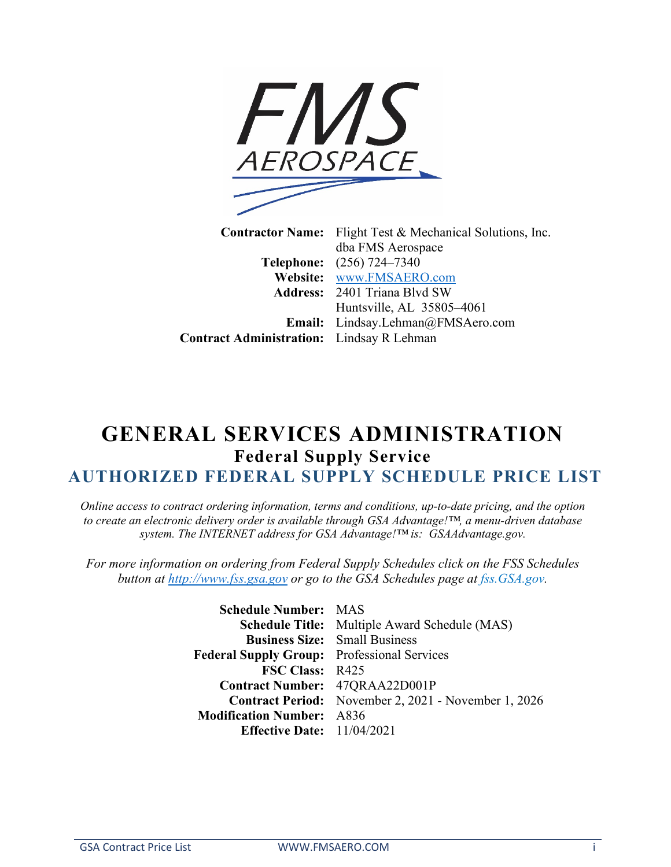

**Contractor Name:** Flight Test & Mechanical Solutions, Inc. dba FMS Aerospace **Telephone:** (256) 724–7340 **Website:** [www.FMSAERO.com](http://www.fmsaero.com/) **Address:** 2401 Triana Blvd SW Huntsville, AL 35805–4061 **Email:** Lindsay.Lehman@FMSAero.com **Contract Administration:** Lindsay R Lehman

## **GENERAL SERVICES ADMINISTRATION Federal Supply Service AUTHORIZED FEDERAL SUPPLY SCHEDULE PRICE LIST**

*Online access to contract ordering information, terms and conditions, up-to-date pricing, and the option to create an electronic delivery order is available through GSA Advantage!™, a menu-driven database system. The INTERNET address for GSA Advantage!™ is: GSAAdvantage.gov.*

*For more information on ordering from Federal Supply Schedules click on the FSS Schedules button at [http://www.fss.gsa.gov](http://www.fss.gsa.gov/) or go to the GSA Schedules page at fss.GSA.gov.*

> **Schedule Number:** MAS **Schedule Title:** Multiple Award Schedule (MAS) **Business Size:** Small Business **Federal Supply Group:** Professional Services **FSC Class:** R425 **Contract Number:** 47QRAA22D001P **Contract Period:** November 2, 2021 - November 1, 2026 **Modification Number:** A836 **Effective Date:** 11/04/2021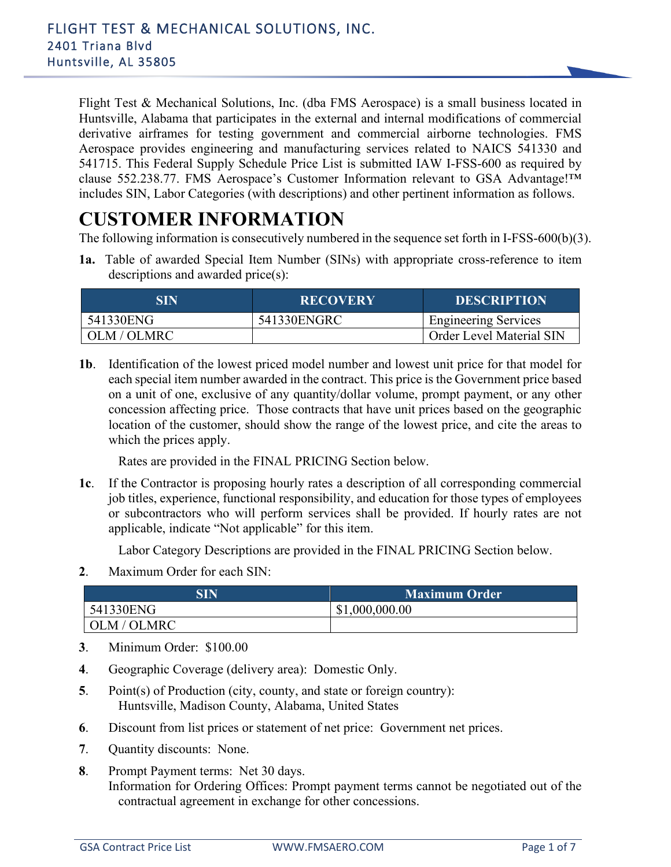Flight Test & Mechanical Solutions, Inc. (dba FMS Aerospace) is a small business located in Huntsville, Alabama that participates in the external and internal modifications of commercial derivative airframes for testing government and commercial airborne technologies. FMS Aerospace provides engineering and manufacturing services related to NAICS 541330 and 541715. This Federal Supply Schedule Price List is submitted IAW I-FSS-600 as required by clause 552.238.77. FMS Aerospace's Customer Information relevant to GSA Advantage!™ includes SIN, Labor Categories (with descriptions) and other pertinent information as follows.

### **CUSTOMER INFORMATION**

The following information is consecutively numbered in the sequence set forth in I-FSS-600(b)(3).

**1a.** Table of awarded Special Item Number (SINs) with appropriate cross-reference to item descriptions and awarded price(s):

| SIN         | <b>RECOVERY</b> | <b>DESCRIPTION</b>          |
|-------------|-----------------|-----------------------------|
| 541330ENG   | 541330ENGRC     | <b>Engineering Services</b> |
| OLM / OLMRC |                 | Order Level Material SIN    |

**1b**. Identification of the lowest priced model number and lowest unit price for that model for each special item number awarded in the contract. This price is the Government price based on a unit of one, exclusive of any quantity/dollar volume, prompt payment, or any other concession affecting price. Those contracts that have unit prices based on the geographic location of the customer, should show the range of the lowest price, and cite the areas to which the prices apply.

Rates are provided in the FINAL PRICING Section below.

**1c**. If the Contractor is proposing hourly rates a description of all corresponding commercial job titles, experience, functional responsibility, and education for those types of employees or subcontractors who will perform services shall be provided. If hourly rates are not applicable, indicate "Not applicable" for this item.

Labor Category Descriptions are provided in the FINAL PRICING Section below.

**2**. Maximum Order for each SIN:

| SIN         | Maximum Order  |  |
|-------------|----------------|--|
| 541330ENG   | \$1,000,000.00 |  |
| OLM / OLMRC |                |  |

- **3**. Minimum Order: \$100.00
- **4**. Geographic Coverage (delivery area): Domestic Only.
- **5**. Point(s) of Production (city, county, and state or foreign country): Huntsville, Madison County, Alabama, United States
- **6**. Discount from list prices or statement of net price: Government net prices.
- **7**. Quantity discounts: None.
- **8**. Prompt Payment terms: Net 30 days. Information for Ordering Offices: Prompt payment terms cannot be negotiated out of the contractual agreement in exchange for other concessions.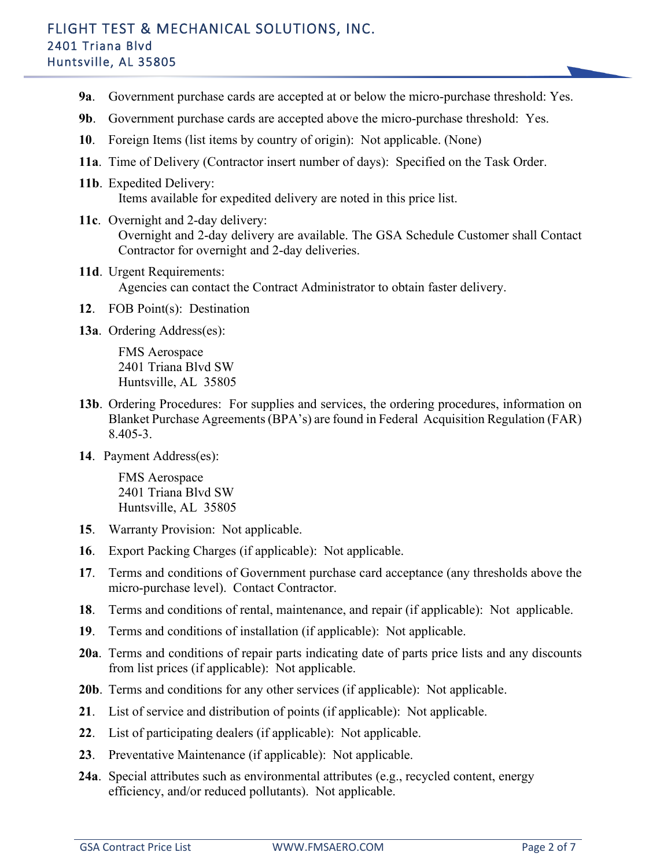#### FLIGHT TEST & MECHANICAL SOLUTIONS, INC. 2401 Triana Blvd Huntsville, AL 35805

- **9a**. Government purchase cards are accepted at or below the micro-purchase threshold: Yes.
- **9b**. Government purchase cards are accepted above the micro-purchase threshold: Yes.
- **10**. Foreign Items (list items by country of origin): Not applicable. (None)
- **11a**. Time of Delivery (Contractor insert number of days): Specified on the Task Order.
- **11b**. Expedited Delivery: Items available for expedited delivery are noted in this price list.
- **11c**. Overnight and 2-day delivery: Overnight and 2-day delivery are available. The GSA Schedule Customer shall Contact Contractor for overnight and 2-day deliveries.
- **11d**. Urgent Requirements: Agencies can contact the Contract Administrator to obtain faster delivery.
- **12**. FOB Point(s): Destination
- **13a**. Ordering Address(es):

FMS Aerospace 2401 Triana Blvd SW Huntsville, AL 35805

- **13b**. Ordering Procedures: For supplies and services, the ordering procedures, information on Blanket Purchase Agreements (BPA's) are found in Federal Acquisition Regulation (FAR) 8.405-3.
- **14**. Payment Address(es):

FMS Aerospace 2401 Triana Blvd SW Huntsville, AL 35805

- **15**. Warranty Provision: Not applicable.
- **16**. Export Packing Charges (if applicable): Not applicable.
- **17**. Terms and conditions of Government purchase card acceptance (any thresholds above the micro-purchase level). Contact Contractor.
- **18**. Terms and conditions of rental, maintenance, and repair (if applicable): Not applicable.
- **19**. Terms and conditions of installation (if applicable): Not applicable.
- **20a**. Terms and conditions of repair parts indicating date of parts price lists and any discounts from list prices (if applicable): Not applicable.
- **20b**. Terms and conditions for any other services (if applicable): Not applicable.
- **21**. List of service and distribution of points (if applicable): Not applicable.
- **22**. List of participating dealers (if applicable): Not applicable.
- **23**. Preventative Maintenance (if applicable): Not applicable.
- **24a**. Special attributes such as environmental attributes (e.g., recycled content, energy efficiency, and/or reduced pollutants). Not applicable.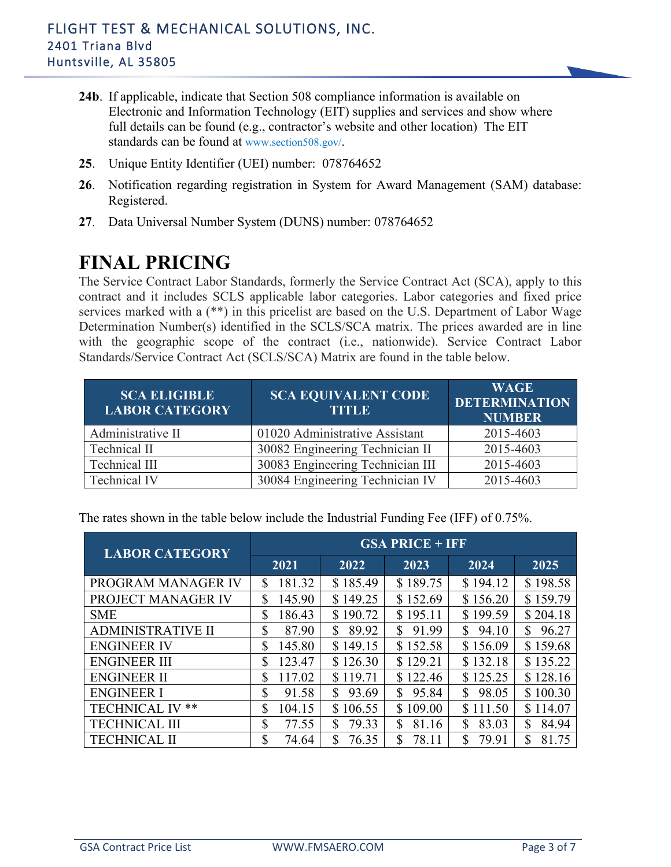

- **24b**. If applicable, indicate that Section 508 compliance information is available on Electronic and Information Technology (EIT) supplies and services and show where full details can be found (e.g., contractor's website and other location) The EIT standards can be found at [www.section508.gov/.](http://www.section508.gov/)
- **25**. Unique Entity Identifier (UEI) number: 078764652
- **26**. Notification regarding registration in System for Award Management (SAM) database: Registered.
- **27**. Data Universal Number System (DUNS) number: 078764652

# **FINAL PRICING**

The Service Contract Labor Standards, formerly the Service Contract Act (SCA), apply to this contract and it includes SCLS applicable labor categories. Labor categories and fixed price services marked with a (\*\*) in this pricelist are based on the U.S. Department of Labor Wage Determination Number(s) identified in the SCLS/SCA matrix. The prices awarded are in line with the geographic scope of the contract (i.e., nationwide). Service Contract Labor Standards/Service Contract Act (SCLS/SCA) Matrix are found in the table below.

| <b>SCA ELIGIBLE</b><br><b>LABOR CATEGORY</b> | <b>SCA EQUIVALENT CODE</b><br><b>TITLE</b> | <b>WAGE</b><br><b>DETERMINATION</b><br><b>NUMBER</b> |
|----------------------------------------------|--------------------------------------------|------------------------------------------------------|
| Administrative II                            | 01020 Administrative Assistant             | 2015-4603                                            |
| Technical II                                 | 30082 Engineering Technician II            | 2015-4603                                            |
| Technical III                                | 30083 Engineering Technician III           | 2015-4603                                            |
| <b>Technical IV</b>                          | 30084 Engineering Technician IV            | 2015-4603                                            |

**LABOR CATEGORY GSA PRICE + IFF 2021 2022 2023 2024 2025** PROGRAM MANAGER IV  $\begin{array}{|c|c|c|c|c|c|c|c|c|} \hline \text{S} & 185.49 & \text{S} & 189.75 & \text{S} & 194.12 & \text{S} & 198.58 \\ \hline \end{array}$ PROJECT MANAGER IV  $\begin{array}{|l|l|l|l|l|} 1 & 145.90 & 149.25 & 152.69 & 156.20 & 159.79 \end{array}$ SME | \$ 186.43 | \$ 190.72 | \$ 195.11 | \$ 199.59 | \$ 204.18 ADMINISTRATIVE II \$ 87.90 \$ 89.92 \$ 91.99 \$ 94.10 \$ 96.27 ENGINEER IV <br>
\$ 145.80 \ \$ 149.15 \ \$ 152.58 \ \$ 156.09 \ \$ 159.68 ENGINEER III \$ 123.47 \$ 126.30 \ \$ 129.21 \ \$ 132.18 \ \$ 135.22 ENGINEER II \$ 117.02 \$ 119.71 \$ 122.46 \$ 125.25 \$ 128.16 ENGINEER I \$ 91.58 \$ 93.69 \$ 95.84 \$ 98.05 \$ 100.30 TECHNICAL IV \*\* | \$ 104.15 | \$ 106.55 | \$ 109.00 | \$ 111.50 | \$ 114.07 TECHNICAL III \$ 77.55 \$ 79.33 \$ 81.16 \$ 83.03 \$ 84.94 TECHNICAL II \$ 74.64 \$ 76.35 \$ 78.11 \$ 79.91 \$ 81.75

The rates shown in the table below include the Industrial Funding Fee (IFF) of 0.75%.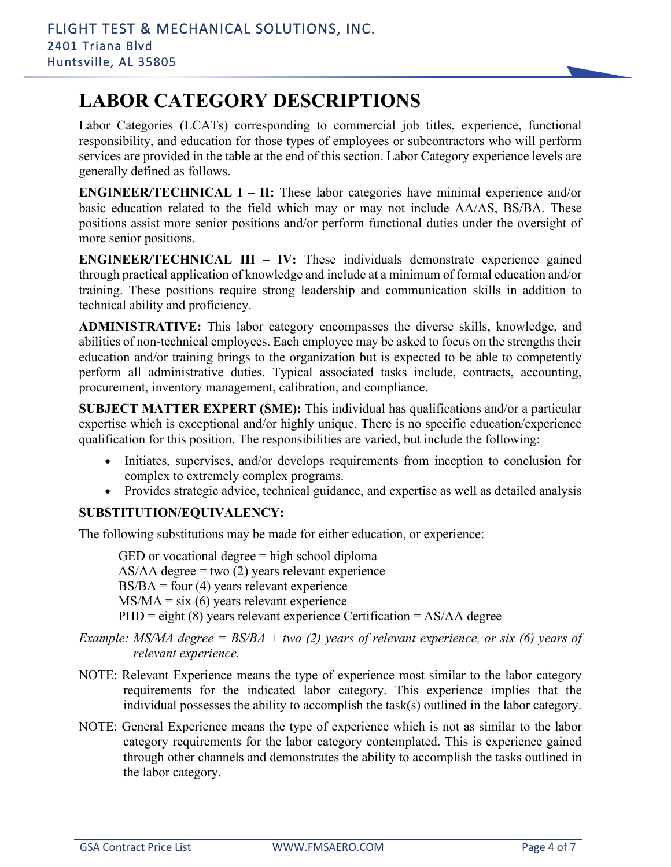# **LABOR CATEGORY DESCRIPTIONS**

Labor Categories (LCATs) corresponding to commercial job titles, experience, functional responsibility, and education for those types of employees or subcontractors who will perform services are provided in the table at the end of this section. Labor Category experience levels are generally defined as follows.

**ENGINEER/TECHNICAL I – II:** These labor categories have minimal experience and/or basic education related to the field which may or may not include AA/AS, BS/BA. These positions assist more senior positions and/or perform functional duties under the oversight of more senior positions.

**ENGINEER/TECHNICAL III – IV:** These individuals demonstrate experience gained through practical application of knowledge and include at a minimum of formal education and/or training. These positions require strong leadership and communication skills in addition to technical ability and proficiency.

**ADMINISTRATIVE:** This labor category encompasses the diverse skills, knowledge, and abilities of non-technical employees. Each employee may be asked to focus on the strengths their education and/or training brings to the organization but is expected to be able to competently perform all administrative duties. Typical associated tasks include, contracts, accounting, procurement, inventory management, calibration, and compliance.

**SUBJECT MATTER EXPERT (SME):** This individual has qualifications and/or a particular expertise which is exceptional and/or highly unique. There is no specific education/experience qualification for this position. The responsibilities are varied, but include the following:

- Initiates, supervises, and/or develops requirements from inception to conclusion for complex to extremely complex programs.
- Provides strategic advice, technical guidance, and expertise as well as detailed analysis

#### **SUBSTITUTION/EQUIVALENCY:**

The following substitutions may be made for either education, or experience:

GED or vocational degree = high school diploma  $AS/AA$  degree = two (2) years relevant experience  $BS/BA = four (4)$  years relevant experience  $MS/MA = six(6)$  years relevant experience  $PHD =$  eight (8) years relevant experience Certification = AS/AA degree

- *Example: MS/MA degree = BS/BA + two (2) years of relevant experience, or six (6) years of relevant experience.*
- NOTE: Relevant Experience means the type of experience most similar to the labor category requirements for the indicated labor category. This experience implies that the individual possesses the ability to accomplish the task(s) outlined in the labor category.
- NOTE: General Experience means the type of experience which is not as similar to the labor category requirements for the labor category contemplated. This is experience gained through other channels and demonstrates the ability to accomplish the tasks outlined in the labor category.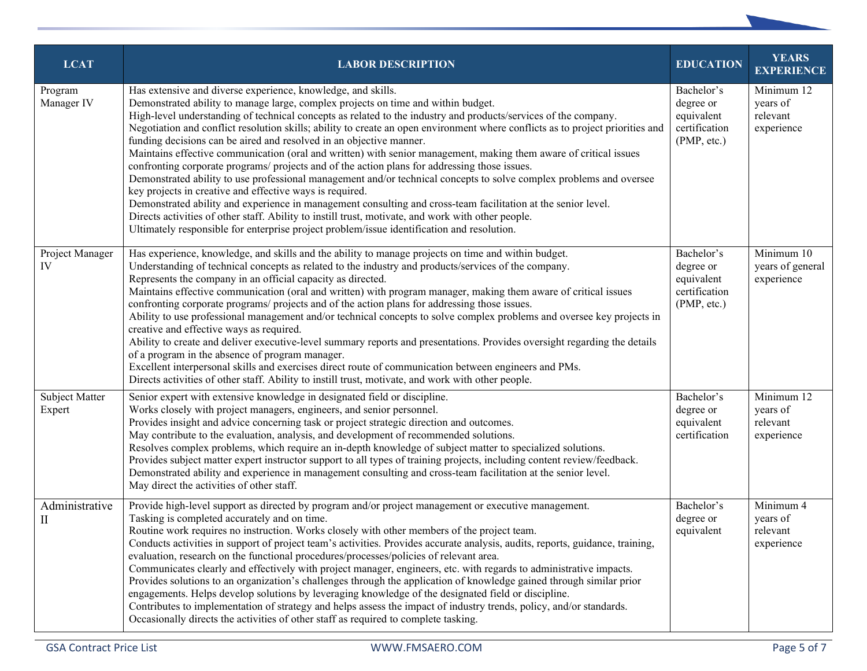| <b>LCAT</b>              | <b>LABOR DESCRIPTION</b>                                                                                                                                                                                                                                                                                                                                                                                                                                                                                                                                                                                                                                                                                                                                                                                                                                                                                                                                                                                                                                                                                                                                                                                    | <b>EDUCATION</b>                                                      | <b>YEARS</b><br><b>EXPERIENCE</b>                |
|--------------------------|-------------------------------------------------------------------------------------------------------------------------------------------------------------------------------------------------------------------------------------------------------------------------------------------------------------------------------------------------------------------------------------------------------------------------------------------------------------------------------------------------------------------------------------------------------------------------------------------------------------------------------------------------------------------------------------------------------------------------------------------------------------------------------------------------------------------------------------------------------------------------------------------------------------------------------------------------------------------------------------------------------------------------------------------------------------------------------------------------------------------------------------------------------------------------------------------------------------|-----------------------------------------------------------------------|--------------------------------------------------|
| Program<br>Manager IV    | Has extensive and diverse experience, knowledge, and skills.<br>Demonstrated ability to manage large, complex projects on time and within budget.<br>High-level understanding of technical concepts as related to the industry and products/services of the company.<br>Negotiation and conflict resolution skills; ability to create an open environment where conflicts as to project priorities and<br>funding decisions can be aired and resolved in an objective manner.<br>Maintains effective communication (oral and written) with senior management, making them aware of critical issues<br>confronting corporate programs/ projects and of the action plans for addressing those issues.<br>Demonstrated ability to use professional management and/or technical concepts to solve complex problems and oversee<br>key projects in creative and effective ways is required.<br>Demonstrated ability and experience in management consulting and cross-team facilitation at the senior level.<br>Directs activities of other staff. Ability to instill trust, motivate, and work with other people.<br>Ultimately responsible for enterprise project problem/issue identification and resolution. | Bachelor's<br>degree or<br>equivalent<br>certification<br>(PMP, etc.) | Minimum 12<br>years of<br>relevant<br>experience |
| Project Manager<br>IV    | Has experience, knowledge, and skills and the ability to manage projects on time and within budget.<br>Understanding of technical concepts as related to the industry and products/services of the company.<br>Represents the company in an official capacity as directed.<br>Maintains effective communication (oral and written) with program manager, making them aware of critical issues<br>confronting corporate programs/ projects and of the action plans for addressing those issues.<br>Ability to use professional management and/or technical concepts to solve complex problems and oversee key projects in<br>creative and effective ways as required.<br>Ability to create and deliver executive-level summary reports and presentations. Provides oversight regarding the details<br>of a program in the absence of program manager.<br>Excellent interpersonal skills and exercises direct route of communication between engineers and PMs.<br>Directs activities of other staff. Ability to instill trust, motivate, and work with other people.                                                                                                                                         | Bachelor's<br>degree or<br>equivalent<br>certification<br>(PMP, etc.) | Minimum 10<br>years of general<br>experience     |
| Subject Matter<br>Expert | Senior expert with extensive knowledge in designated field or discipline.<br>Works closely with project managers, engineers, and senior personnel.<br>Provides insight and advice concerning task or project strategic direction and outcomes.<br>May contribute to the evaluation, analysis, and development of recommended solutions.<br>Resolves complex problems, which require an in-depth knowledge of subject matter to specialized solutions.<br>Provides subject matter expert instructor support to all types of training projects, including content review/feedback.<br>Demonstrated ability and experience in management consulting and cross-team facilitation at the senior level.<br>May direct the activities of other staff.                                                                                                                                                                                                                                                                                                                                                                                                                                                              | Bachelor's<br>degree or<br>equivalent<br>certification                | Minimum 12<br>years of<br>relevant<br>experience |
| Administrative<br>П      | Provide high-level support as directed by program and/or project management or executive management.<br>Tasking is completed accurately and on time.<br>Routine work requires no instruction. Works closely with other members of the project team.<br>Conducts activities in support of project team's activities. Provides accurate analysis, audits, reports, guidance, training,<br>evaluation, research on the functional procedures/processes/policies of relevant area.<br>Communicates clearly and effectively with project manager, engineers, etc. with regards to administrative impacts.<br>Provides solutions to an organization's challenges through the application of knowledge gained through similar prior<br>engagements. Helps develop solutions by leveraging knowledge of the designated field or discipline.<br>Contributes to implementation of strategy and helps assess the impact of industry trends, policy, and/or standards.<br>Occasionally directs the activities of other staff as required to complete tasking.                                                                                                                                                           | Bachelor's<br>degree or<br>equivalent                                 | Minimum 4<br>years of<br>relevant<br>experience  |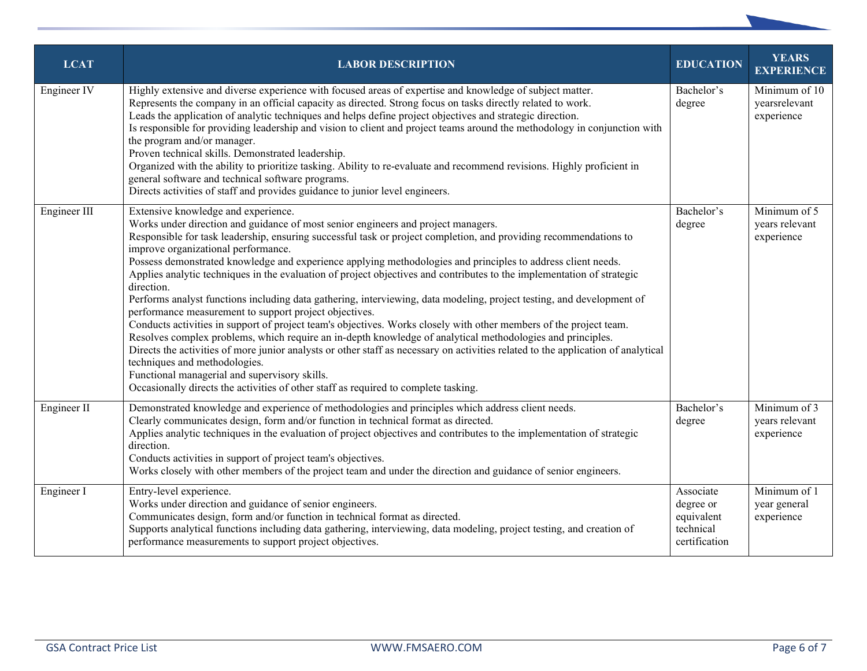| <b>LCAT</b>  | <b>LABOR DESCRIPTION</b>                                                                                                                                                                                                                                                                                                                                                                                                                                                                                                                                                                                                                                                                                                                                                                                                                                                                                                                                                                                                                                                                                                                                                                                                                                                          | <b>EDUCATION</b>                                                   | <b>YEARS</b><br><b>EXPERIENCE</b>            |
|--------------|-----------------------------------------------------------------------------------------------------------------------------------------------------------------------------------------------------------------------------------------------------------------------------------------------------------------------------------------------------------------------------------------------------------------------------------------------------------------------------------------------------------------------------------------------------------------------------------------------------------------------------------------------------------------------------------------------------------------------------------------------------------------------------------------------------------------------------------------------------------------------------------------------------------------------------------------------------------------------------------------------------------------------------------------------------------------------------------------------------------------------------------------------------------------------------------------------------------------------------------------------------------------------------------|--------------------------------------------------------------------|----------------------------------------------|
| Engineer IV  | Highly extensive and diverse experience with focused areas of expertise and knowledge of subject matter.<br>Represents the company in an official capacity as directed. Strong focus on tasks directly related to work.<br>Leads the application of analytic techniques and helps define project objectives and strategic direction.<br>Is responsible for providing leadership and vision to client and project teams around the methodology in conjunction with<br>the program and/or manager.<br>Proven technical skills. Demonstrated leadership.<br>Organized with the ability to prioritize tasking. Ability to re-evaluate and recommend revisions. Highly proficient in<br>general software and technical software programs.<br>Directs activities of staff and provides guidance to junior level engineers.                                                                                                                                                                                                                                                                                                                                                                                                                                                              | Bachelor's<br>degree                                               | Minimum of 10<br>yearsrelevant<br>experience |
| Engineer III | Extensive knowledge and experience.<br>Works under direction and guidance of most senior engineers and project managers.<br>Responsible for task leadership, ensuring successful task or project completion, and providing recommendations to<br>improve organizational performance.<br>Possess demonstrated knowledge and experience applying methodologies and principles to address client needs.<br>Applies analytic techniques in the evaluation of project objectives and contributes to the implementation of strategic<br>direction.<br>Performs analyst functions including data gathering, interviewing, data modeling, project testing, and development of<br>performance measurement to support project objectives.<br>Conducts activities in support of project team's objectives. Works closely with other members of the project team.<br>Resolves complex problems, which require an in-depth knowledge of analytical methodologies and principles.<br>Directs the activities of more junior analysts or other staff as necessary on activities related to the application of analytical<br>techniques and methodologies.<br>Functional managerial and supervisory skills.<br>Occasionally directs the activities of other staff as required to complete tasking. | Bachelor's<br>degree                                               | Minimum of 5<br>years relevant<br>experience |
| Engineer II  | Demonstrated knowledge and experience of methodologies and principles which address client needs.<br>Clearly communicates design, form and/or function in technical format as directed.<br>Applies analytic techniques in the evaluation of project objectives and contributes to the implementation of strategic<br>direction.<br>Conducts activities in support of project team's objectives.<br>Works closely with other members of the project team and under the direction and guidance of senior engineers.                                                                                                                                                                                                                                                                                                                                                                                                                                                                                                                                                                                                                                                                                                                                                                 | Bachelor's<br>degree                                               | Minimum of 3<br>years relevant<br>experience |
| Engineer I   | Entry-level experience.<br>Works under direction and guidance of senior engineers.<br>Communicates design, form and/or function in technical format as directed.<br>Supports analytical functions including data gathering, interviewing, data modeling, project testing, and creation of<br>performance measurements to support project objectives.                                                                                                                                                                                                                                                                                                                                                                                                                                                                                                                                                                                                                                                                                                                                                                                                                                                                                                                              | Associate<br>degree or<br>equivalent<br>technical<br>certification | Minimum of 1<br>year general<br>experience   |